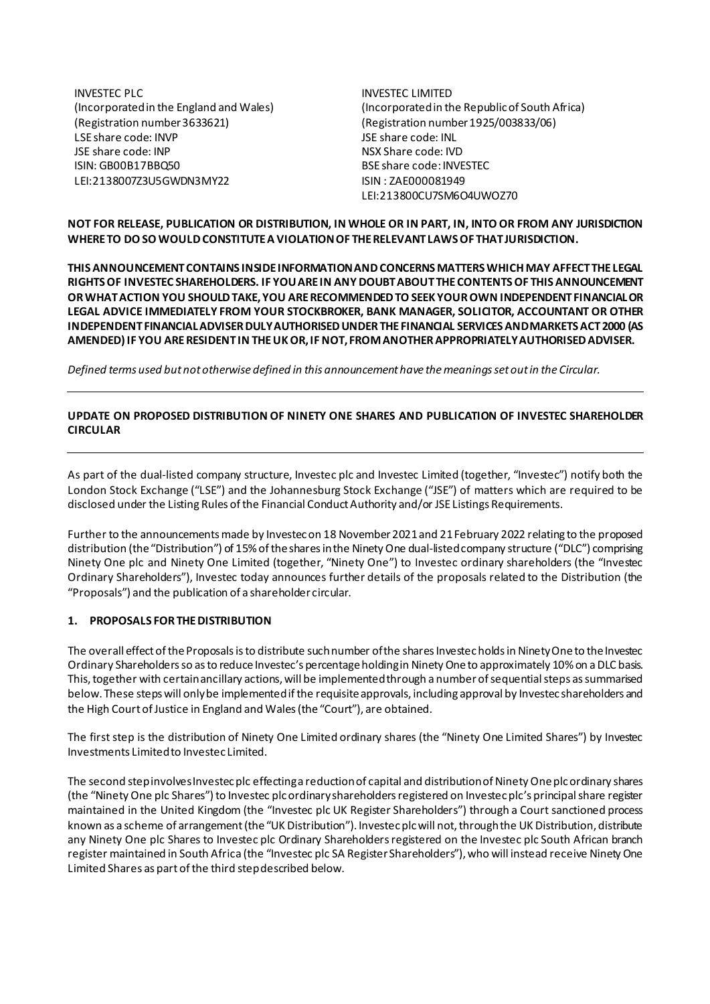INVESTEC PLC (Incorporated in the England and Wales) (Registration number 3633621) LSE share code: INVP JSE share code: INP ISIN: GB00B17BBQ50 LEI:2138007Z3U5GWDN3MY22

INVESTEC LIMITED (Incorporated in the Republic of South Africa) (Registration number 1925/003833/06) JSE share code: INL NSX Share code: IVD BSE share code: INVESTEC ISIN : ZAE000081949 LEI:213800CU7SM6O4UWOZ70

## **NOT FOR RELEASE, PUBLICATION OR DISTRIBUTION, IN WHOLE OR IN PART, IN, INTO OR FROM ANY JURISDICTION WHERE TO DO SO WOULD CONSTITUTE A VIOLATION OF THE RELEVANT LAWS OF THAT JURISDICTION.**

**THIS ANNOUNCEMENT CONTAINS INSIDE INFORMATIONAND CONCERNS MATTERS WHICH MAY AFFECT THE LEGAL RIGHTS OF INVESTEC SHAREHOLDERS. IF YOU ARE IN ANY DOUBT ABOUT THE CONTENTS OF THIS ANNOUNCEMENT OR WHAT ACTION YOU SHOULD TAKE, YOU ARE RECOMMENDED TO SEEK YOUR OWN INDEPENDENT FINANCIAL OR LEGAL ADVICE IMMEDIATELY FROM YOUR STOCKBROKER, BANK MANAGER, SOLICITOR, ACCOUNTANT OR OTHER INDEPENDENT FINANCIAL ADVISERDULY AUTHORISED UNDER THE FINANCIAL SERVICES AND MARKETS ACT 2000 (AS AMENDED) IF YOU ARE RESIDENT IN THE UK OR, IF NOT, FROM ANOTHER APPROPRIATELY AUTHORISED ADVISER.**

*Defined terms used but not otherwise defined in this announcement have the meanings set out in the Circular.*

# **UPDATE ON PROPOSED DISTRIBUTION OF NINETY ONE SHARES AND PUBLICATION OF INVESTEC SHAREHOLDER CIRCULAR**

As part of the dual-listed company structure, Investec plc and Investec Limited (together, "Investec") notify both the London Stock Exchange ("LSE") and the Johannesburg Stock Exchange ("JSE") of matters which are required to be disclosed under the Listing Rules of the Financial Conduct Authority and/or JSE Listings Requirements.

Further to the announcements made by Investec on 18 November 2021 and 21 February 2022 relating to the proposed distribution (the "Distribution") of 15% of the shares in the Ninety One dual-listed company structure ("DLC") comprising Ninety One plc and Ninety One Limited (together, "Ninety One") to Investec ordinary shareholders (the "Investec Ordinary Shareholders"), Investec today announces further details of the proposals related to the Distribution (the "Proposals") and the publication of a shareholder circular.

## **1. PROPOSALS FOR THE DISTRIBUTION**

The overall effect of the Proposals is to distribute such number of the shares Investec holds in Ninety One to the Investec Ordinary Shareholders so as to reduce Investec's percentage holding in Ninety One to approximately 10% on a DLC basis. This, together with certain ancillary actions, will be implemented through a number of sequential steps as summarised below. These steps will only be implemented if the requisite approvals, including approval by Investec shareholders and the High Court of Justice in England and Wales (the "Court"), are obtained.

The first step is the distribution of Ninety One Limited ordinary shares (the "Ninety One Limited Shares") by Investec Investments Limited to Investec Limited.

The second step involves Investecplc effecting a reduction of capital and distribution of Ninety One plc ordinary shares (the "Ninety One plc Shares") to Investec plc ordinary shareholders registered on Investec plc's principal share register maintained in the United Kingdom (the "Investec plc UK Register Shareholders") through a Court sanctioned process known as a scheme of arrangement (the "UK Distribution"). Investec plc will not, through the UK Distribution, distribute any Ninety One plc Shares to Investec plc Ordinary Shareholders registered on the Investec plc South African branch register maintained in South Africa (the "Investec plc SA Register Shareholders"), who will instead receive Ninety One Limited Shares as part of the third step described below.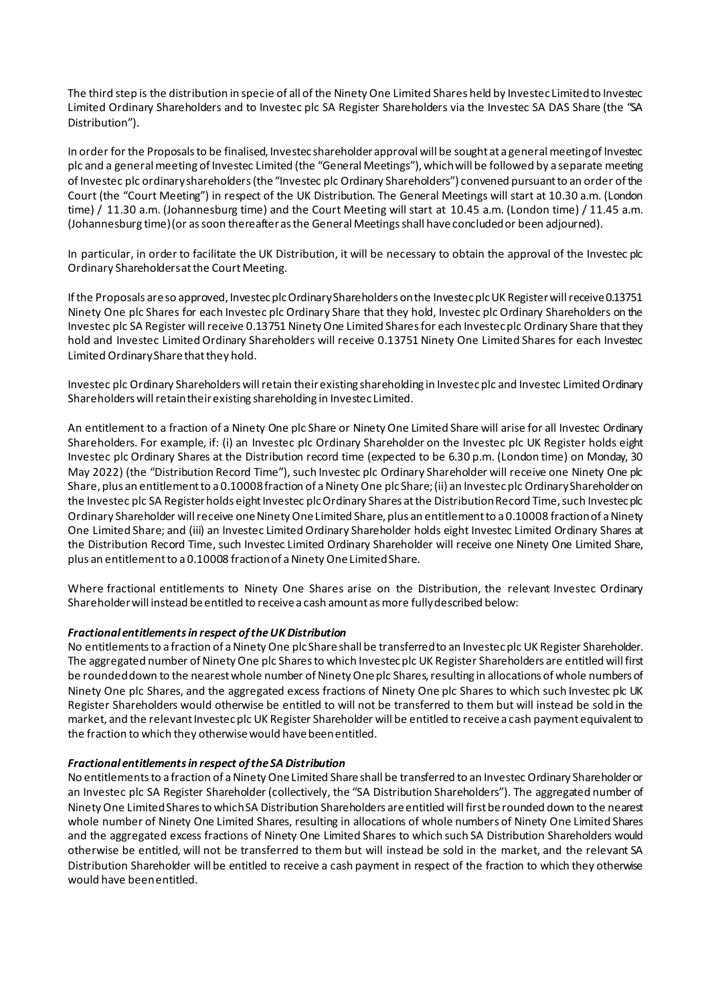The third step is the distribution in specie of all of the Ninety One Limited Shares held by Investec Limited to Investec Limited Ordinary Shareholders and to Investec plc SA Register Shareholders via the Investec SA DAS Share (the "SA Distribution").

In order for the Proposals to be finalised, Investec shareholder approval will be sought at a general meeting of Investec plc and a general meeting of Investec Limited (the "General Meetings"), which will be followed by a separate meeting of Investec plc ordinary shareholders (the "Investec plc Ordinary Shareholders") convened pursuant to an order of the Court (the "Court Meeting") in respect of the UK Distribution. The General Meetings will start at 10.30 a.m. (London time) / 11.30 a.m. (Johannesburg time) and the Court Meeting will start at 10.45 a.m. (London time) / 11.45 a.m. (Johannesburg time) (or as soon thereafter as the General Meetings shall have concluded or been adjourned).

In particular, in order to facilitate the UK Distribution, it will be necessary to obtain the approval of the Investec plc Ordinary Shareholdersat the Court Meeting.

If the Proposals are so approved, Investec plc OrdinaryShareholders on the Investec plcUK Registerwill receive0.13751 Ninety One plc Shares for each Investec plc Ordinary Share that they hold, Investec plc Ordinary Shareholders on the Investec plc SA Register will receive 0.13751 Ninety One Limited Sharesfor each Investec plc Ordinary Share that they hold and Investec Limited Ordinary Shareholders will receive 0.13751 Ninety One Limited Shares for each Investec Limited Ordinary Share that they hold.

Investec plc Ordinary Shareholders will retain their existing shareholding in Investec plc and Investec Limited Ordinary Shareholders will retain their existing shareholding in Investec Limited.

An entitlement to a fraction of a Ninety One plc Share or Ninety One Limited Share will arise for all Investec Ordinary Shareholders. For example, if: (i) an Investec plc Ordinary Shareholder on the Investec plc UK Register holds eight Investec plc Ordinary Shares at the Distribution record time (expected to be 6.30 p.m. (London time) on Monday, 30 May 2022) (the "Distribution Record Time"), such Investec plc Ordinary Shareholder will receive one Ninety One plc Share, plus an entitlement to a 0.10008 fraction of a Ninety One plc Share; (ii) an Investec plc OrdinaryShareholderon the Investec plc SA Registerholds eight Investec plc Ordinary Shares at the Distribution Record Time, such Investec plc Ordinary Shareholder will receive one Ninety One Limited Share, plus an entitlement to a 0.10008 fraction of a Ninety One Limited Share; and (iii) an Investec Limited Ordinary Shareholder holds eight Investec Limited Ordinary Shares at the Distribution Record Time, such Investec Limited Ordinary Shareholder will receive one Ninety One Limited Share, plus an entitlement to a 0.10008 fraction of a Ninety One Limited Share.

Where fractional entitlements to Ninety One Shares arise on the Distribution, the relevant Investec Ordinary Shareholder will instead be entitled to receive a cash amount as more fully described below:

### *Fractional entitlements in respect of the UK Distribution*

No entitlements to a fraction of a Ninety One plcShare shall be transferred to an Investec plc UK Register Shareholder. The aggregated number of Ninety One plc Shares to which Investec plc UK Register Shareholders are entitled will first be rounded down to the nearest whole number of Ninety One plc Shares, resulting in allocations of whole numbers of Ninety One plc Shares, and the aggregated excess fractions of Ninety One plc Shares to which such Investec plc UK Register Shareholders would otherwise be entitled to will not be transferred to them but will instead be sold in the market, and the relevant Investec plc UK Register Shareholder will be entitled to receive a cash payment equivalent to the fraction to which they otherwise would have been entitled.

### *Fractional entitlements in respect of the SA Distribution*

No entitlements to a fraction of a Ninety One Limited Share shall be transferred to an Investec Ordinary Shareholder or an Investec plc SA Register Shareholder (collectively, the "SA Distribution Shareholders"). The aggregated number of Ninety One Limited Shares to which SA Distribution Shareholders are entitled will first be rounded down to the nearest whole number of Ninety One Limited Shares, resulting in allocations of whole numbers of Ninety One Limited Shares and the aggregated excess fractions of Ninety One Limited Shares to which such SA Distribution Shareholders would otherwise be entitled, will not be transferred to them but will instead be sold in the market, and the relevant SA Distribution Shareholder will be entitled to receive a cash payment in respect of the fraction to which they otherwise would have been entitled.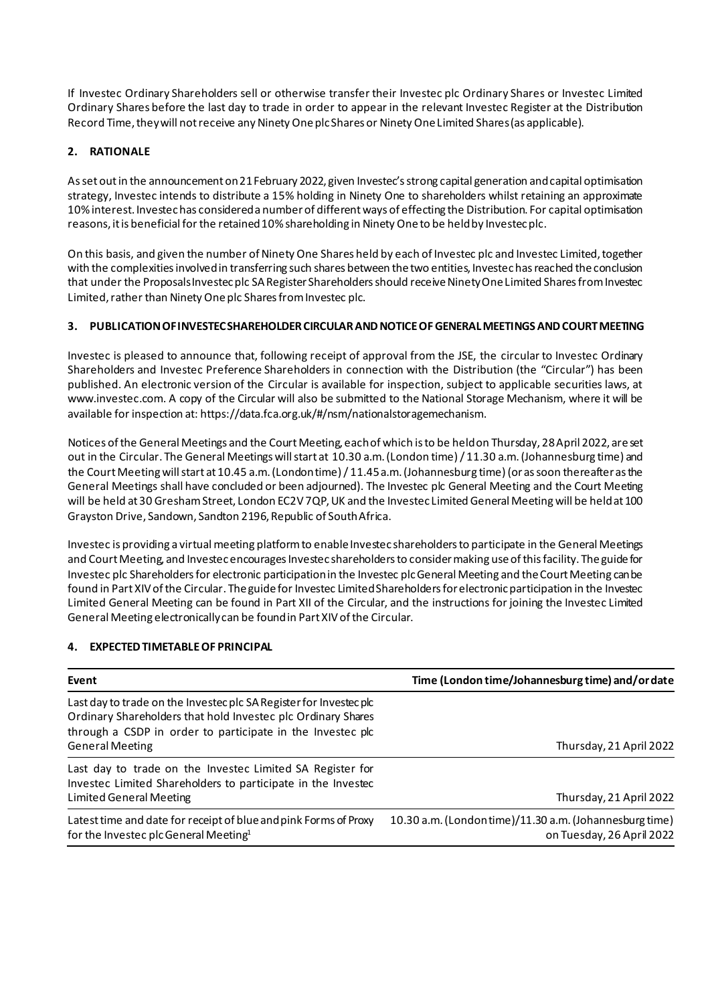If Investec Ordinary Shareholders sell or otherwise transfer their Investec plc Ordinary Shares or Investec Limited Ordinary Shares before the last day to trade in order to appear in the relevant Investec Register at the Distribution Record Time, they will not receive any Ninety One plc Shares or Ninety One Limited Shares (as applicable).

# **2. RATIONALE**

As set out in the announcement on 21 February 2022, given Investec's strong capital generation and capital optimisation strategy, Investec intends to distribute a 15% holding in Ninety One to shareholders whilst retaining an approximate 10% interest. Investec has considered a number of different ways of effecting the Distribution. For capital optimisation reasons, it is beneficial for the retained 10% shareholding in Ninety One to be held by Investec plc.

On this basis, and given the number of Ninety One Shares held by each of Investec plc and Investec Limited, together with the complexities involved in transferring such shares between the two entities, Investec has reached the conclusion that under the Proposals Investec plc SA Register Shareholders should receive Ninety One Limited Shares from Investec Limited, rather than Ninety One plc Shares from Investec plc.

# **3. PUBLICATION OF INVESTEC SHAREHOLDER CIRCULARANDNOTICE OF GENERAL MEETINGSAND COURT MEETING**

Investec is pleased to announce that, following receipt of approval from the JSE, the circular to Investec Ordinary Shareholders and Investec Preference Shareholders in connection with the Distribution (the "Circular") has been published. An electronic version of the Circular is available for inspection, subject to applicable securities laws, at www.investec.com. A copy of the Circular will also be submitted to the National Storage Mechanism, where it will be available for inspection at: https://data.fca.org.uk/#/nsm/nationalstoragemechanism.

Notices of the General Meetings and the Court Meeting, each of which is to be held on Thursday, 28 April 2022, are set out in the Circular. The General Meetings will start at 10.30 a.m. (London time) / 11.30 a.m. (Johannesburg time) and the Court Meeting will start at 10.45 a.m. (London time)/ 11.45 a.m.(Johannesburg time) (or as soon thereafter as the General Meetings shall have concluded or been adjourned). The Investec plc General Meeting and the Court Meeting will be held at 30 Gresham Street, London EC2V 7QP, UK and the Investec Limited General Meeting will be held at 100 Grayston Drive, Sandown, Sandton 2196, Republic of South Africa.

Investec is providing a virtual meeting platform to enable Investec shareholders to participate in the General Meetings and Court Meeting, and Investec encourages Investec shareholders to consider making use of this facility. The guide for Investec plc Shareholders for electronic participation in the Investec plc General Meeting and the Court Meeting can be found in Part XIV of the Circular. The guide for Investec Limited Shareholders for electronic participation in the Investec Limited General Meeting can be found in Part XII of the Circular, and the instructions for joining the Investec Limited General Meeting electronically can be found in Part XIV of the Circular.

## **4. EXPECTED TIMETABLE OF PRINCIPAL**

| Event                                                                                                                                                                                            | Time (London time/Johannesburg time) and/or date                                    |
|--------------------------------------------------------------------------------------------------------------------------------------------------------------------------------------------------|-------------------------------------------------------------------------------------|
| Last day to trade on the Investec plc SA Register for Investec plc<br>Ordinary Shareholders that hold Investec plc Ordinary Shares<br>through a CSDP in order to participate in the Investec plc |                                                                                     |
| <b>General Meeting</b>                                                                                                                                                                           | Thursday, 21 April 2022                                                             |
| Last day to trade on the Investec Limited SA Register for<br>Investec Limited Shareholders to participate in the Investec                                                                        |                                                                                     |
| <b>Limited General Meeting</b>                                                                                                                                                                   | Thursday, 21 April 2022                                                             |
| Latest time and date for receipt of blue and pink Forms of Proxy<br>for the Investec plc General Meeting <sup>1</sup>                                                                            | 10.30 a.m. (Londontime)/11.30 a.m. (Johannesburg time)<br>on Tuesday, 26 April 2022 |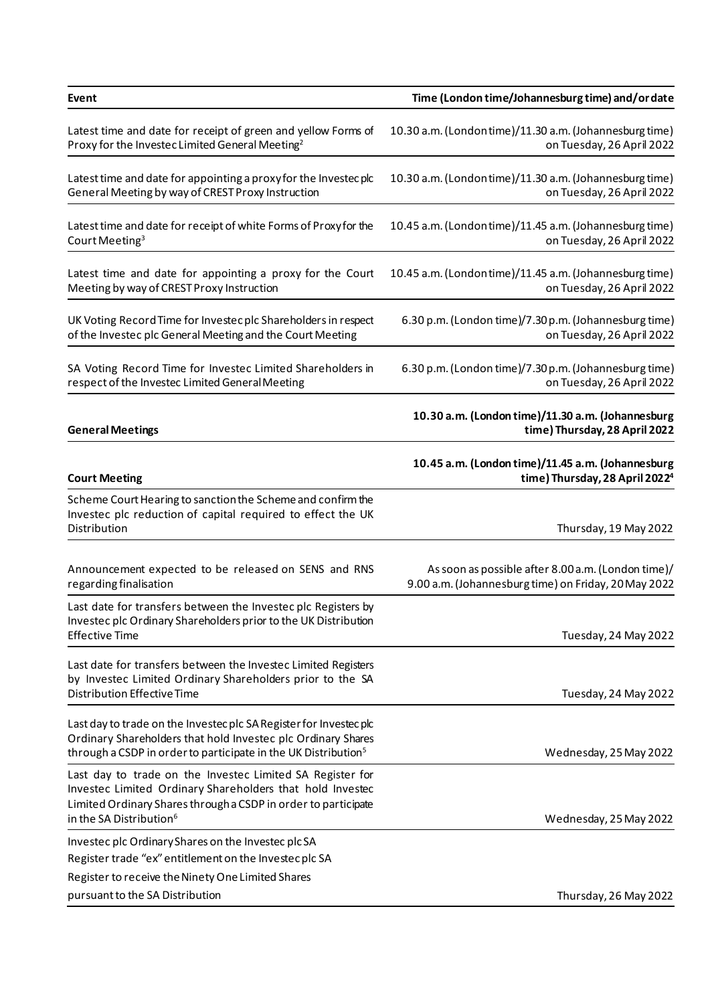| Event                                                                                                                                                                                                            | Time (London time/Johannesburg time) and/or date                                                           |
|------------------------------------------------------------------------------------------------------------------------------------------------------------------------------------------------------------------|------------------------------------------------------------------------------------------------------------|
| Latest time and date for receipt of green and yellow Forms of<br>Proxy for the Investec Limited General Meeting <sup>2</sup>                                                                                     | 10.30 a.m. (Londontime)/11.30 a.m. (Johannesburg time)<br>on Tuesday, 26 April 2022                        |
| Latest time and date for appointing a proxy for the Investec plc<br>General Meeting by way of CREST Proxy Instruction                                                                                            | 10.30 a.m. (Londontime)/11.30 a.m. (Johannesburg time)<br>on Tuesday, 26 April 2022                        |
| Latest time and date for receipt of white Forms of Proxy for the<br>Court Meeting <sup>3</sup>                                                                                                                   | 10.45 a.m. (Londontime)/11.45 a.m. (Johannesburg time)<br>on Tuesday, 26 April 2022                        |
| Latest time and date for appointing a proxy for the Court<br>Meeting by way of CREST Proxy Instruction                                                                                                           | 10.45 a.m. (Londontime)/11.45 a.m. (Johannesburg time)<br>on Tuesday, 26 April 2022                        |
| UK Voting Record Time for Investec plc Shareholders in respect<br>of the Investec plc General Meeting and the Court Meeting                                                                                      | 6.30 p.m. (London time)/7.30 p.m. (Johannesburg time)<br>on Tuesday, 26 April 2022                         |
| SA Voting Record Time for Investec Limited Shareholders in<br>respect of the Investec Limited General Meeting                                                                                                    | 6.30 p.m. (London time)/7.30 p.m. (Johannesburg time)<br>on Tuesday, 26 April 2022                         |
| <b>General Meetings</b>                                                                                                                                                                                          | 10.30 a.m. (London time)/11.30 a.m. (Johannesburg<br>time) Thursday, 28 April 2022                         |
| <b>Court Meeting</b>                                                                                                                                                                                             | 10.45 a.m. (London time)/11.45 a.m. (Johannesburg<br>time) Thursday, 28 April 2022 <sup>4</sup>            |
| Scheme Court Hearing to sanction the Scheme and confirm the<br>Investec plc reduction of capital required to effect the UK<br>Distribution                                                                       | Thursday, 19 May 2022                                                                                      |
| Announcement expected to be released on SENS and RNS<br>regarding finalisation                                                                                                                                   | As soon as possible after 8.00 a.m. (London time)/<br>9.00 a.m. (Johannesburg time) on Friday, 20 May 2022 |
| Last date for transfers between the Investec plc Registers by<br>Investec plc Ordinary Shareholders prior to the UK Distribution<br><b>Effective Time</b>                                                        | Tuesday, 24 May 2022                                                                                       |
| Last date for transfers between the Investec Limited Registers<br>by Investec Limited Ordinary Shareholders prior to the SA<br><b>Distribution Effective Time</b>                                                | Tuesday, 24 May 2022                                                                                       |
| Last day to trade on the Investec plc SA Register for Investec plc<br>Ordinary Shareholders that hold Investec plc Ordinary Shares<br>through a CSDP in order to participate in the UK Distribution <sup>5</sup> | Wednesday, 25 May 2022                                                                                     |
| Last day to trade on the Investec Limited SA Register for<br>Investec Limited Ordinary Shareholders that hold Investec<br>Limited Ordinary Shares through a CSDP in order to participate                         |                                                                                                            |
| in the SA Distribution <sup>6</sup>                                                                                                                                                                              | Wednesday, 25 May 2022                                                                                     |
| Investec plc Ordinary Shares on the Investec plc SA<br>Register trade "ex" entitlement on the Investec plc SA                                                                                                    |                                                                                                            |
| Register to receive the Ninety One Limited Shares                                                                                                                                                                |                                                                                                            |
| pursuant to the SA Distribution                                                                                                                                                                                  | Thursday, 26 May 2022                                                                                      |
|                                                                                                                                                                                                                  |                                                                                                            |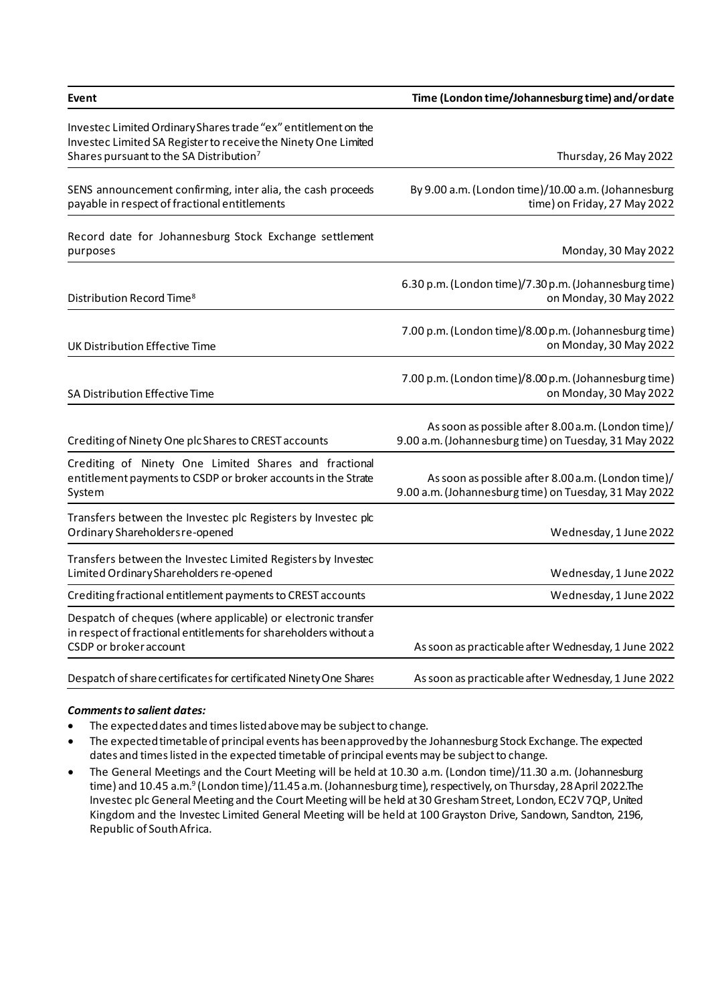| Event                                                                                                                                                                                   | Time (London time/Johannesburg time) and/or date                                                            |
|-----------------------------------------------------------------------------------------------------------------------------------------------------------------------------------------|-------------------------------------------------------------------------------------------------------------|
| Investec Limited Ordinary Shares trade "ex" entitlement on the<br>Investec Limited SA Register to receive the Ninety One Limited<br>Shares pursuant to the SA Distribution <sup>7</sup> | Thursday, 26 May 2022                                                                                       |
| SENS announcement confirming, inter alia, the cash proceeds<br>payable in respect of fractional entitlements                                                                            | By 9.00 a.m. (London time)/10.00 a.m. (Johannesburg<br>time) on Friday, 27 May 2022                         |
| Record date for Johannesburg Stock Exchange settlement<br>purposes                                                                                                                      | Monday, 30 May 2022                                                                                         |
| Distribution Record Time <sup>8</sup>                                                                                                                                                   | 6.30 p.m. (London time)/7.30 p.m. (Johannesburg time)<br>on Monday, 30 May 2022                             |
| UK Distribution Effective Time                                                                                                                                                          | 7.00 p.m. (London time)/8.00 p.m. (Johannesburg time)<br>on Monday, 30 May 2022                             |
| SA Distribution Effective Time                                                                                                                                                          | 7.00 p.m. (London time)/8.00 p.m. (Johannesburg time)<br>on Monday, 30 May 2022                             |
| Crediting of Ninety One plc Shares to CREST accounts                                                                                                                                    | As soon as possible after 8.00 a.m. (London time)/<br>9.00 a.m. (Johannesburg time) on Tuesday, 31 May 2022 |
| Crediting of Ninety One Limited Shares and fractional<br>entitlement payments to CSDP or broker accounts in the Strate<br>System                                                        | As soon as possible after 8.00 a.m. (London time)/<br>9.00 a.m. (Johannesburg time) on Tuesday, 31 May 2022 |
| Transfers between the Investec plc Registers by Investec plc<br>Ordinary Shareholdersre-opened                                                                                          | Wednesday, 1 June 2022                                                                                      |
| Transfers between the Investec Limited Registers by Investec<br>Limited Ordinary Shareholders re-opened                                                                                 | Wednesday, 1 June 2022                                                                                      |
| Crediting fractional entitlement payments to CREST accounts                                                                                                                             | Wednesday, 1 June 2022                                                                                      |
| Despatch of cheques (where applicable) or electronic transfer<br>in respect of fractional entitlements for shareholders without a<br>CSDP or broker account                             | As soon as practicable after Wednesday, 1 June 2022                                                         |
| Despatch of share certificates for certificated Ninety One Shares                                                                                                                       | As soon as practicable after Wednesday, 1 June 2022                                                         |

# *Comments to salient dates:*

- The expected dates and times listed above may be subject to change.
- The expected timetable of principal events has been approved by the Johannesburg Stock Exchange. The expected dates and times listed in the expected timetable of principal events may be subject to change.
- The General Meetings and the Court Meeting will be held at 10.30 a.m. (London time)/11.30 a.m. (Johannesburg time) and 10.45 a.m.<sup>9</sup> (London time)/11.45 a.m. (Johannesburg time), respectively, on Thursday, 28 April 2022.The Investec plc General Meeting and the Court Meeting will be held at 30 Gresham Street, London, EC2V 7QP, United Kingdom and the Investec Limited General Meeting will be held at 100 Grayston Drive, Sandown, Sandton, 2196, Republic of South Africa.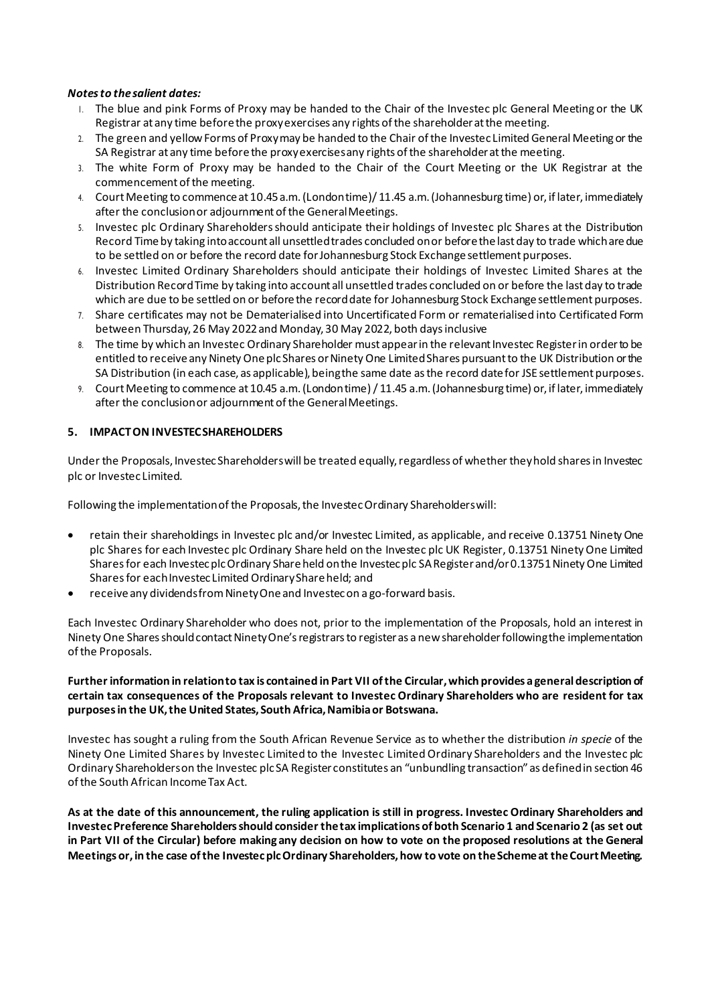### *Notes to the salient dates:*

- 1. The blue and pink Forms of Proxy may be handed to the Chair of the Investec plc General Meeting or the UK Registrar at any time before the proxy exercises any rights of the shareholder at the meeting.
- 2. The green and yellow Forms of Proxy may be handed to the Chair of the Investec Limited General Meeting or the SA Registrar at any time before the proxy exercises any rights of the shareholder at the meeting.
- 3. The white Form of Proxy may be handed to the Chair of the Court Meeting or the UK Registrar at the commencement of the meeting.
- 4. Court Meeting to commence at 10.45 a.m. (London time)/ 11.45 a.m. (Johannesburg time) or, if later, immediately after the conclusion or adjournment of the General Meetings.
- 5. Investec plc Ordinary Shareholders should anticipate their holdings of Investec plc Shares at the Distribution Record Time by taking into account all unsettled trades concluded on or before the last day to trade which are due to be settled on or before the record date for Johannesburg Stock Exchange settlement purposes.
- 6. Investec Limited Ordinary Shareholders should anticipate their holdings of Investec Limited Shares at the Distribution Record Time by taking into account all unsettled trades concluded on or before the last day to trade which are due to be settled on or before the record date for Johannesburg Stock Exchange settlement purposes.
- 7. Share certificates may not be Dematerialised into Uncertificated Form or rematerialised into Certificated Form between Thursday, 26 May 2022 and Monday, 30 May 2022, both days inclusive
- 8. The time by which an Investec Ordinary Shareholder must appear in the relevant Investec Register in order to be entitled to receive any Ninety One plc Shares or Ninety One Limited Shares pursuant to the UK Distribution or the SA Distribution (in each case, as applicable), being the same date as the record date for JSE settlement purposes.
- 9. Court Meeting to commence at 10.45 a.m. (London time) / 11.45 a.m. (Johannesburg time) or, if later, immediately after the conclusion or adjournment of the General Meetings.

### **5. IMPACT ON INVESTEC SHAREHOLDERS**

Under the Proposals, Investec Shareholders will be treated equally, regardless of whether they hold shares in Investec plc or Investec Limited.

Following the implementation of the Proposals, the Investec Ordinary Shareholders will:

- retain their shareholdings in Investec plc and/or Investec Limited, as applicable, and receive 0.13751 Ninety One plc Shares for each Investec plc Ordinary Share held on the Investec plc UK Register, 0.13751 Ninety One Limited Sharesfor each Investec plc Ordinary Share held on the Investec plc SA Register and/or 0.13751Ninety One Limited Sharesfor each Investec Limited Ordinary Share held; and
- receive any dividends from Ninety One and Investec on a go-forward basis.

Each Investec Ordinary Shareholder who does not, prior to the implementation of the Proposals, hold an interest in Ninety One Shares should contact Ninety One's registrars to register as a new shareholder following the implementation of the Proposals.

### **Further information in relation to tax is contained in Part VII of the Circular, which provides a general description of certain tax consequences of the Proposals relevant to Investec Ordinary Shareholders who are resident for tax purposesin the UK, the United States, South Africa, Namibia or Botswana.**

Investec has sought a ruling from the South African Revenue Service as to whether the distribution *in specie* of the Ninety One Limited Shares by Investec Limited to the Investec Limited Ordinary Shareholders and the Investec plc Ordinary Shareholders on the Investec plc SA Register constitutes an "unbundling transaction" as defined in section 46 of the South African Income Tax Act.

**As at the date of this announcement, the ruling application is still in progress. Investec Ordinary Shareholders and Investec Preference Shareholders should consider the tax implications of both Scenario 1 and Scenario 2 (as set out in Part VII of the Circular) before making any decision on how to vote on the proposed resolutions at the General Meetings or, in the case of the Investec plc Ordinary Shareholders, how to vote on the Scheme at the Court Meeting.**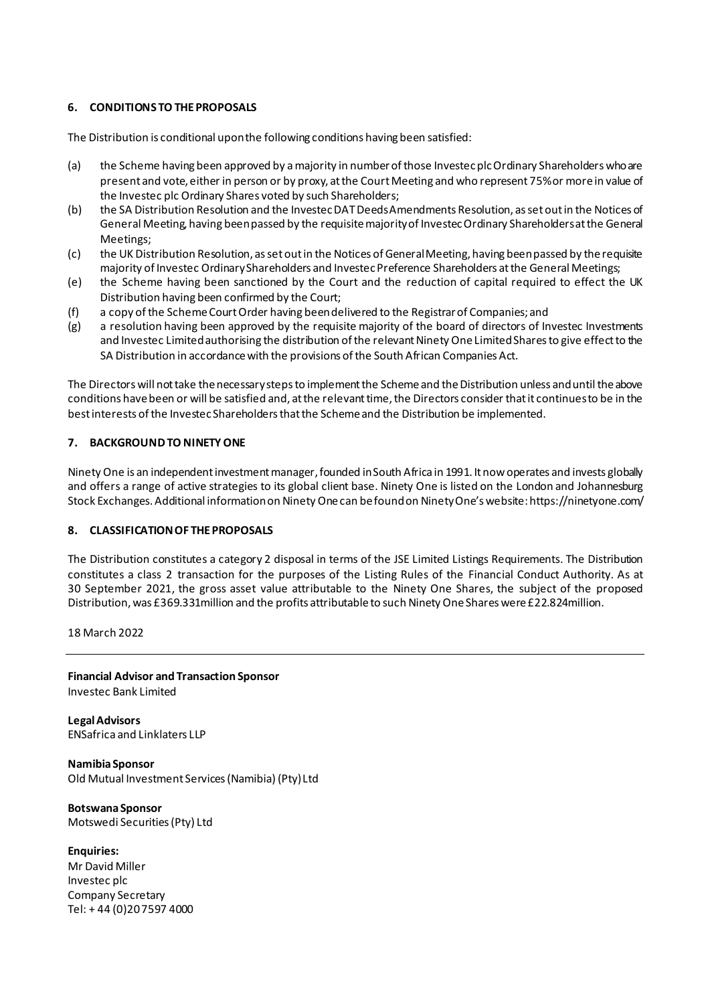## **6. CONDITIONS TO THE PROPOSALS**

The Distribution is conditional upon the following conditions having been satisfied:

- (a) the Scheme having been approved by a majority in number of those Investec plc Ordinary Shareholders who are present and vote, either in person or by proxy, at the Court Meeting and who represent 75% or more in value of the Investec plc Ordinary Shares voted by such Shareholders;
- (b) the SA Distribution Resolution and the Investec DAT Deeds Amendments Resolution, as set out in the Notices of General Meeting, having been passed by the requisite majority of Investec Ordinary Shareholders at the General Meetings;
- (c) the UK Distribution Resolution, as set out in the Notices of General Meeting, having been passed by the requisite majority of Investec Ordinary Shareholders and Investec Preference Shareholders at the General Meetings;
- (e) the Scheme having been sanctioned by the Court and the reduction of capital required to effect the UK Distribution having been confirmed by the Court;
- (f) a copy of the Scheme CourtOrder having been delivered to the Registrar of Companies; and
- (g) a resolution having been approved by the requisite majority of the board of directors of Investec Investments and Investec Limited authorising the distribution of the relevant Ninety One Limited Shares to give effect to the SA Distribution in accordance with the provisions of the South African Companies Act.

The Directors will not take the necessary steps to implement the Scheme and the Distribution unless and until the above conditions have been or will be satisfied and, at the relevant time, the Directors consider that it continues to be in the best interests of the Investec Shareholders that the Scheme and the Distribution be implemented.

### **7. BACKGROUND TO NINETY ONE**

Ninety One is an independent investment manager, founded in South Africa in 1991. It now operates and invests globally and offers a range of active strategies to its global client base. Ninety One is listed on the London and Johannesburg Stock Exchanges. Additional information on Ninety Onecan be found on Ninety One's website[: https://ninetyone.com/](https://ninetyone.com/)

### **8. CLASSIFICATION OF THE PROPOSALS**

The Distribution constitutes a category 2 disposal in terms of the JSE Limited Listings Requirements. The Distribution constitutes a class 2 transaction for the purposes of the Listing Rules of the Financial Conduct Authority. As at 30 September 2021, the gross asset value attributable to the Ninety One Shares, the subject of the proposed Distribution,was £369.331million and the profits attributable to such Ninety One Shares were £22.824million.

18 March 2022

**Financial Advisor and Transaction Sponsor** Investec Bank Limited

**Legal Advisors** ENSafrica and Linklaters LLP

**Namibia Sponsor** Old Mutual Investment Services (Namibia) (Pty) Ltd

**Botswana Sponsor** Motswedi Securities (Pty) Ltd

**Enquiries:** Mr David Miller Investec plc Company Secretary Tel: + 44 (0)20 7597 4000